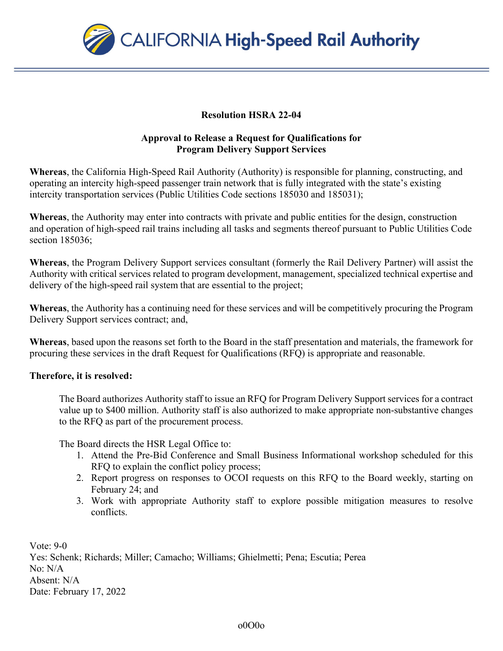

## **Resolution HSRA 22-04**

## **Approval to Release a Request for Qualifications for Program Delivery Support Services**

**Whereas**, the California High-Speed Rail Authority (Authority) is responsible for planning, constructing, and operating an intercity high-speed passenger train network that is fully integrated with the state's existing intercity transportation services (Public Utilities Code sections 185030 and 185031);

**Whereas**, the Authority may enter into contracts with private and public entities for the design, construction and operation of high-speed rail trains including all tasks and segments thereof pursuant to Public Utilities Code section 185036;

**Whereas**, the Program Delivery Support services consultant (formerly the Rail Delivery Partner) will assist the Authority with critical services related to program development, management, specialized technical expertise and delivery of the high-speed rail system that are essential to the project;

**Whereas**, the Authority has a continuing need for these services and will be competitively procuring the Program Delivery Support services contract; and,

**Whereas**, based upon the reasons set forth to the Board in the staff presentation and materials, the framework for procuring these services in the draft Request for Qualifications (RFQ) is appropriate and reasonable.

## **Therefore, it is resolved:**

The Board authorizes Authority staff to issue an RFQ for Program Delivery Support services for a contract value up to \$400 million. Authority staff is also authorized to make appropriate non-substantive changes to the RFQ as part of the procurement process.

The Board directs the HSR Legal Office to:

- 1. Attend the Pre-Bid Conference and Small Business Informational workshop scheduled for this RFQ to explain the conflict policy process;
- 2. Report progress on responses to OCOI requests on this RFQ to the Board weekly, starting on February 24; and
- 3. Work with appropriate Authority staff to explore possible mitigation measures to resolve conflicts.

Vote: 9-0 Yes: Schenk; Richards; Miller; Camacho; Williams; Ghielmetti; Pena; Escutia; Perea No: N/A Absent: N/A Date: February 17, 2022